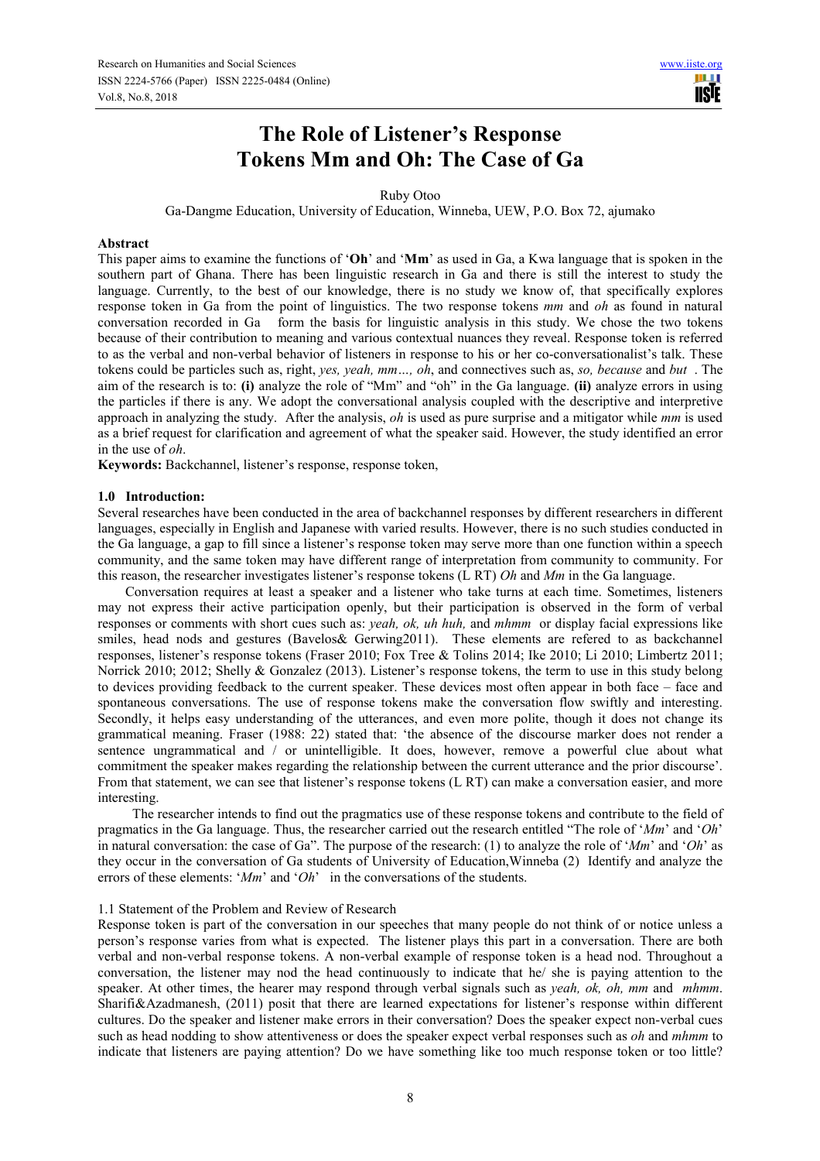# **The Role of Listener's Response Tokens Mm and Oh: The Case of Ga**

Ruby Otoo

Ga-Dangme Education, University of Education, Winneba, UEW, P.O. Box 72, ajumako

### **Abstract**

This paper aims to examine the functions of '**Oh**' and '**Mm**' as used in Ga, a Kwa language that is spoken in the southern part of Ghana. There has been linguistic research in Ga and there is still the interest to study the language. Currently, to the best of our knowledge, there is no study we know of, that specifically explores response token in Ga from the point of linguistics. The two response tokens *mm* and *oh* as found in natural conversation recorded in Ga form the basis for linguistic analysis in this study. We chose the two tokens because of their contribution to meaning and various contextual nuances they reveal. Response token is referred to as the verbal and non-verbal behavior of listeners in response to his or her co-conversationalist's talk. These tokens could be particles such as, right, *yes, yeah, mm…, oh*, and connectives such as, *so, because* and *but* . The aim of the research is to: **(i)** analyze the role of "Mm" and "oh" in the Ga language. **(ii)** analyze errors in using the particles if there is any. We adopt the conversational analysis coupled with the descriptive and interpretive approach in analyzing the study.After the analysis, *oh* is used as pure surprise and a mitigator while *mm* is used as a brief request for clarification and agreement of what the speaker said. However, the study identified an error in the use of *oh*.

**Keywords:** Backchannel, listener's response, response token,

## **1.0 Introduction:**

Several researches have been conducted in the area of backchannel responses by different researchers in different languages, especially in English and Japanese with varied results. However, there is no such studies conducted in the Ga language, a gap to fill since a listener's response token may serve more than one function within a speech community, and the same token may have different range of interpretation from community to community. For this reason, the researcher investigates listener's response tokens (L RT) *Oh* and *Mm* in the Ga language.

Conversation requires at least a speaker and a listener who take turns at each time. Sometimes, listeners may not express their active participation openly, but their participation is observed in the form of verbal responses or comments with short cues such as: *yeah, ok, uh huh,* and *mhmm* or display facial expressions like smiles, head nods and gestures (Bavelos & Gerwing 2011). These elements are refered to as backchannel responses, listener's response tokens (Fraser 2010; Fox Tree & Tolins 2014; Ike 2010; Li 2010; Limbertz 2011; Norrick 2010; 2012; Shelly & Gonzalez (2013). Listener's response tokens, the term to use in this study belong to devices providing feedback to the current speaker. These devices most often appear in both face – face and spontaneous conversations. The use of response tokens make the conversation flow swiftly and interesting. Secondly, it helps easy understanding of the utterances, and even more polite, though it does not change its grammatical meaning. Fraser (1988: 22) stated that: 'the absence of the discourse marker does not render a sentence ungrammatical and / or unintelligible. It does, however, remove a powerful clue about what commitment the speaker makes regarding the relationship between the current utterance and the prior discourse'. From that statement, we can see that listener's response tokens (L RT) can make a conversation easier, and more interesting.

 The researcher intends to find out the pragmatics use of these response tokens and contribute to the field of pragmatics in the Ga language. Thus, the researcher carried out the research entitled "The role of '*Mm*' and '*Oh*' in natural conversation: the case of Ga". The purpose of the research: (1) to analyze the role of '*Mm*' and '*Oh*' as they occur in the conversation of Ga students of University of Education,Winneba (2) Identify and analyze the errors of these elements: '*Mm*' and '*Oh*' in the conversations of the students.

#### 1.1 Statement of the Problem and Review of Research

Response token is part of the conversation in our speeches that many people do not think of or notice unless a person's response varies from what is expected. The listener plays this part in a conversation. There are both verbal and non-verbal response tokens. A non-verbal example of response token is a head nod. Throughout a conversation, the listener may nod the head continuously to indicate that he/ she is paying attention to the speaker. At other times, the hearer may respond through verbal signals such as *yeah, ok, oh, mm* and *mhmm*. Sharifi&Azadmanesh, (2011) posit that there are learned expectations for listener's response within different cultures. Do the speaker and listener make errors in their conversation? Does the speaker expect non-verbal cues such as head nodding to show attentiveness or does the speaker expect verbal responses such as *oh* and *mhmm* to indicate that listeners are paying attention? Do we have something like too much response token or too little?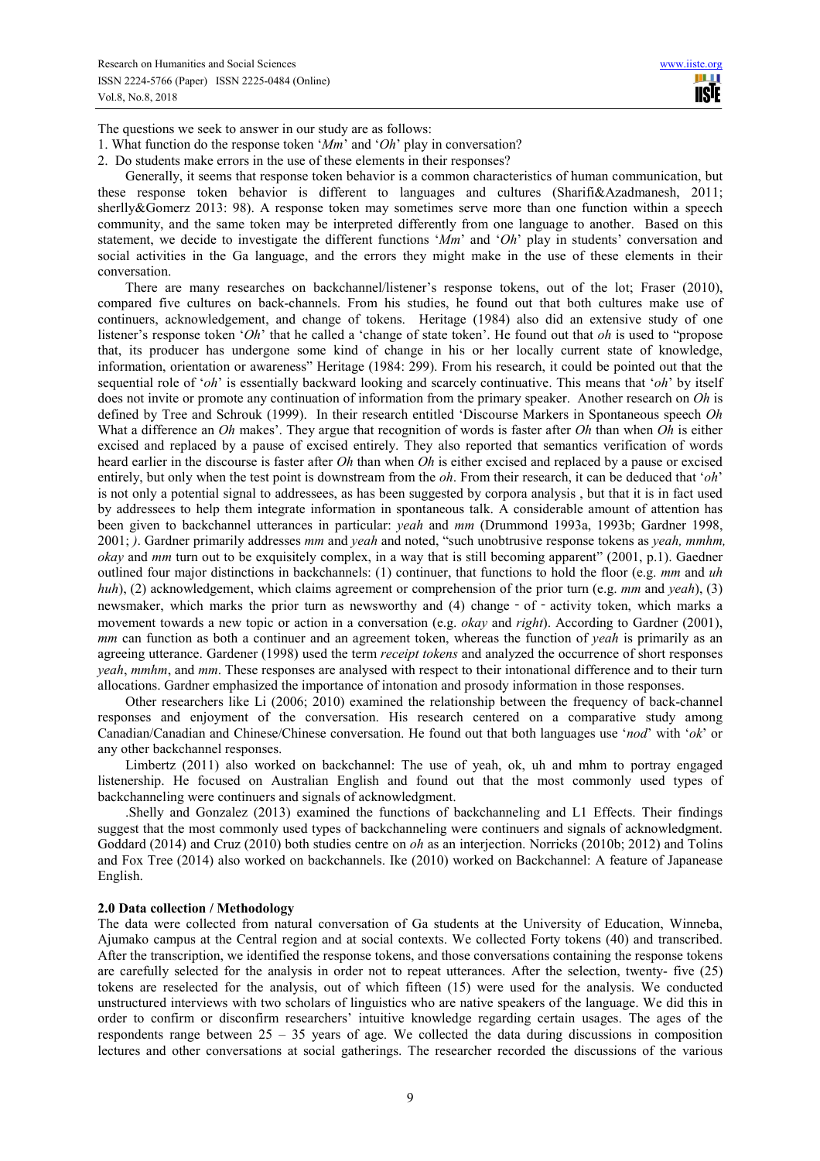The questions we seek to answer in our study are as follows:

- 1. What function do the response token '*Mm*' and '*Oh*' play in conversation?
- 2. Do students make errors in the use of these elements in their responses?

Generally, it seems that response token behavior is a common characteristics of human communication, but these response token behavior is different to languages and cultures (Sharifi&Azadmanesh, 2011; sherlly&Gomerz 2013: 98). A response token may sometimes serve more than one function within a speech community, and the same token may be interpreted differently from one language to another. Based on this statement, we decide to investigate the different functions '*Mm*' and '*Oh*' play in students' conversation and social activities in the Ga language, and the errors they might make in the use of these elements in their conversation.

There are many researches on backchannel/listener's response tokens, out of the lot; Fraser (2010), compared five cultures on back-channels. From his studies, he found out that both cultures make use of continuers, acknowledgement, and change of tokens. Heritage (1984) also did an extensive study of one listener's response token '*Oh*' that he called a 'change of state token'. He found out that *oh* is used to "propose that, its producer has undergone some kind of change in his or her locally current state of knowledge, information, orientation or awareness" Heritage (1984: 299). From his research, it could be pointed out that the sequential role of '*oh*' is essentially backward looking and scarcely continuative. This means that '*oh*' by itself does not invite or promote any continuation of information from the primary speaker. Another research on *Oh* is defined by Tree and Schrouk (1999). In their research entitled 'Discourse Markers in Spontaneous speech *Oh* What a difference an *Oh* makes'. They argue that recognition of words is faster after *Oh* than when *Oh* is either excised and replaced by a pause of excised entirely. They also reported that semantics verification of words heard earlier in the discourse is faster after *Oh* than when *Oh* is either excised and replaced by a pause or excised entirely, but only when the test point is downstream from the *oh*. From their research, it can be deduced that '*oh*' is not only a potential signal to addressees, as has been suggested by corpora analysis , but that it is in fact used by addressees to help them integrate information in spontaneous talk. A considerable amount of attention has been given to backchannel utterances in particular: *yeah* and *mm* (Drummond 1993a, 1993b; Gardner 1998, 2001; *)*. Gardner primarily addresses *mm* and *yeah* and noted, "such unobtrusive response tokens as *yeah, mmhm, okay* and *mm* turn out to be exquisitely complex, in a way that is still becoming apparent" (2001, p.1). Gaedner outlined four major distinctions in backchannels: (1) continuer, that functions to hold the floor (e.g. *mm* and *uh huh*), (2) acknowledgement, which claims agreement or comprehension of the prior turn (e.g. *mm* and *yeah*), (3) newsmaker, which marks the prior turn as newsworthy and (4) change - of - activity token, which marks a movement towards a new topic or action in a conversation (e.g. *okay* and *right*). According to Gardner (2001), *mm* can function as both a continuer and an agreement token, whereas the function of *yeah* is primarily as an agreeing utterance. Gardener (1998) used the term *receipt tokens* and analyzed the occurrence of short responses *yeah*, *mmhm*, and *mm*. These responses are analysed with respect to their intonational difference and to their turn allocations. Gardner emphasized the importance of intonation and prosody information in those responses.

Other researchers like Li (2006; 2010) examined the relationship between the frequency of back-channel responses and enjoyment of the conversation. His research centered on a comparative study among Canadian/Canadian and Chinese/Chinese conversation. He found out that both languages use '*nod*' with '*ok*' or any other backchannel responses.

Limbertz (2011) also worked on backchannel: The use of yeah, ok, uh and mhm to portray engaged listenership. He focused on Australian English and found out that the most commonly used types of backchanneling were continuers and signals of acknowledgment.

.Shelly and Gonzalez (2013) examined the functions of backchanneling and L1 Effects. Their findings suggest that the most commonly used types of backchanneling were continuers and signals of acknowledgment. Goddard (2014) and Cruz (2010) both studies centre on *oh* as an interjection. Norricks (2010b; 2012) and Tolins and Fox Tree (2014) also worked on backchannels. Ike (2010) worked on Backchannel: A feature of Japanease English.

#### **2.0 Data collection / Methodology**

The data were collected from natural conversation of Ga students at the University of Education, Winneba, Ajumako campus at the Central region and at social contexts. We collected Forty tokens (40) and transcribed. After the transcription, we identified the response tokens, and those conversations containing the response tokens are carefully selected for the analysis in order not to repeat utterances. After the selection, twenty- five (25) tokens are reselected for the analysis, out of which fifteen (15) were used for the analysis. We conducted unstructured interviews with two scholars of linguistics who are native speakers of the language. We did this in order to confirm or disconfirm researchers' intuitive knowledge regarding certain usages. The ages of the respondents range between 25 – 35 years of age. We collected the data during discussions in composition lectures and other conversations at social gatherings. The researcher recorded the discussions of the various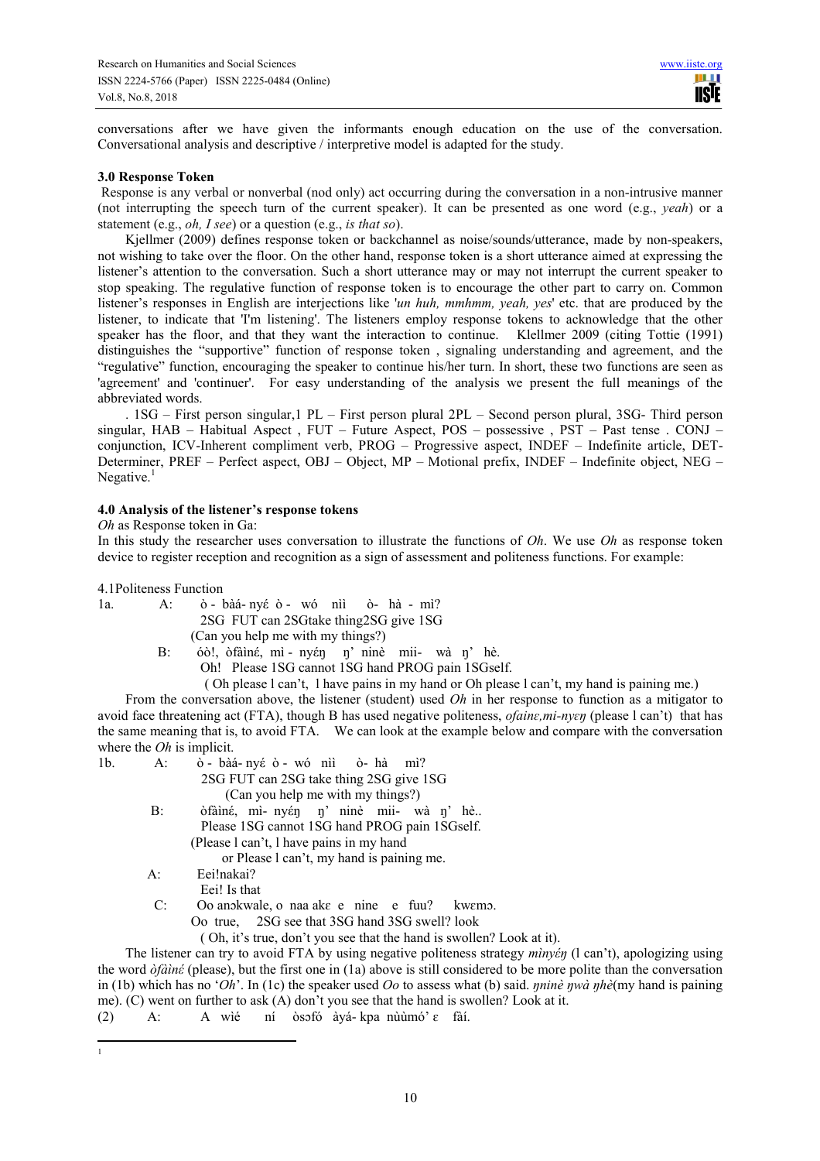conversations after we have given the informants enough education on the use of the conversation. Conversational analysis and descriptive / interpretive model is adapted for the study.

## **3.0 Response Token**

 Response is any verbal or nonverbal (nod only) act occurring during the conversation in a non-intrusive manner (not interrupting the speech turn of the current speaker). It can be presented as one word (e.g., *yeah*) or a statement (e.g., *oh, I see*) or a question (e.g., *is that so*).

Kjellmer (2009) defines response token or backchannel as noise/sounds/utterance, made by non-speakers, not wishing to take over the floor. On the other hand, response token is a short utterance aimed at expressing the listener's attention to the conversation. Such a short utterance may or may not interrupt the current speaker to stop speaking. The regulative function of response token is to encourage the other part to carry on. Common listener's responses in English are interjections like '*un huh, mmhmm, yeah, yes*' etc. that are produced by the listener, to indicate that 'I'm listening'. The listeners employ response tokens to acknowledge that the other speaker has the floor, and that they want the interaction to continue. Klellmer 2009 (citing Tottie (1991) distinguishes the "supportive" function of response token , signaling understanding and agreement, and the "regulative" function, encouraging the speaker to continue his/her turn. In short, these two functions are seen as 'agreement' and 'continuer'. For easy understanding of the analysis we present the full meanings of the abbreviated words.

. 1SG – First person singular,1 PL – First person plural 2PL – Second person plural, 3SG- Third person singular, HAB – Habitual Aspect , FUT – Future Aspect, POS – possessive , PST – Past tense . CONJ – conjunction, ICV-Inherent compliment verb, PROG – Progressive aspect, INDEF – Indefinite article, DET-Determiner, PREF – Perfect aspect, OBJ – Object, MP – Motional prefix, INDEF – Indefinite object, NEG – Negative. $<sup>1</sup>$ </sup>

# **4.0 Analysis of the listener's response tokens**

#### *Oh* as Response token in Ga:

In this study the researcher uses conversation to illustrate the functions of *Oh*. We use *Oh* as response token device to register reception and recognition as a sign of assessment and politeness functions. For example:

4.1Politeness Function

1a. A: ὸ - bàá- nyέ ὸ - wό nìì ὸ- hà - mì? 2SG FUT can 2SGtake thing2SG give 1SG

- (Can you help me with my things?)
- B: óὸ!, ὸfàìnέ, mì nyέŋ ŋ' ninè mii- wà ŋ' hè. Oh! Please 1SG cannot 1SG hand PROG pain 1SGself.

( Oh please l can't, l have pains in my hand or Oh please l can't, my hand is paining me.)

From the conversation above, the listener (student) used *Oh* in her response to function as a mitigator to avoid face threatening act (FTA), though B has used negative politeness, *ofainɛ,mi-nyɛŋ* (please l can't) that has the same meaning that is, to avoid FTA. We can look at the example below and compare with the conversation where the *Oh* is implicit.

1b. A: ὸ - bàá- nyέ ὸ - wό nìì ὸ- hà mì? 2SG FUT can 2SG take thing 2SG give 1SG (Can you help me with my things?) B: òfàiné, mì- nyén η' ninè mii- wà η' hè... Please 1SG cannot 1SG hand PROG pain 1SGself. (Please l can't, l have pains in my hand

or Please l can't, my hand is paining me.

- A: Eei!nakai?
- Eei! Is that
- C: Oo anɔkwale, o naa akɛ e nine e fuu? kwɛmɔ.

Oo true, 2SG see that 3SG hand 3SG swell? look

( Oh, it's true, don't you see that the hand is swollen? Look at it).

The listener can try to avoid FTA by using negative politeness strategy *mìnyέŋ* (l can't), apologizing using the word *ὸfàìnέ* (please), but the first one in (1a) above is still considered to be more polite than the conversation in (1b) which has no '*Oh*'. In (1c) the speaker used *Oo* to assess what (b) said. *ŋninè ŋwà ŋhè*(my hand is paining me). (C) went on further to ask (A) don't you see that the hand is swollen? Look at it.

<sup>(2)</sup> A: A wìé ní ὸsɔfó àyá- kpa nùùmó' ɛ fàí.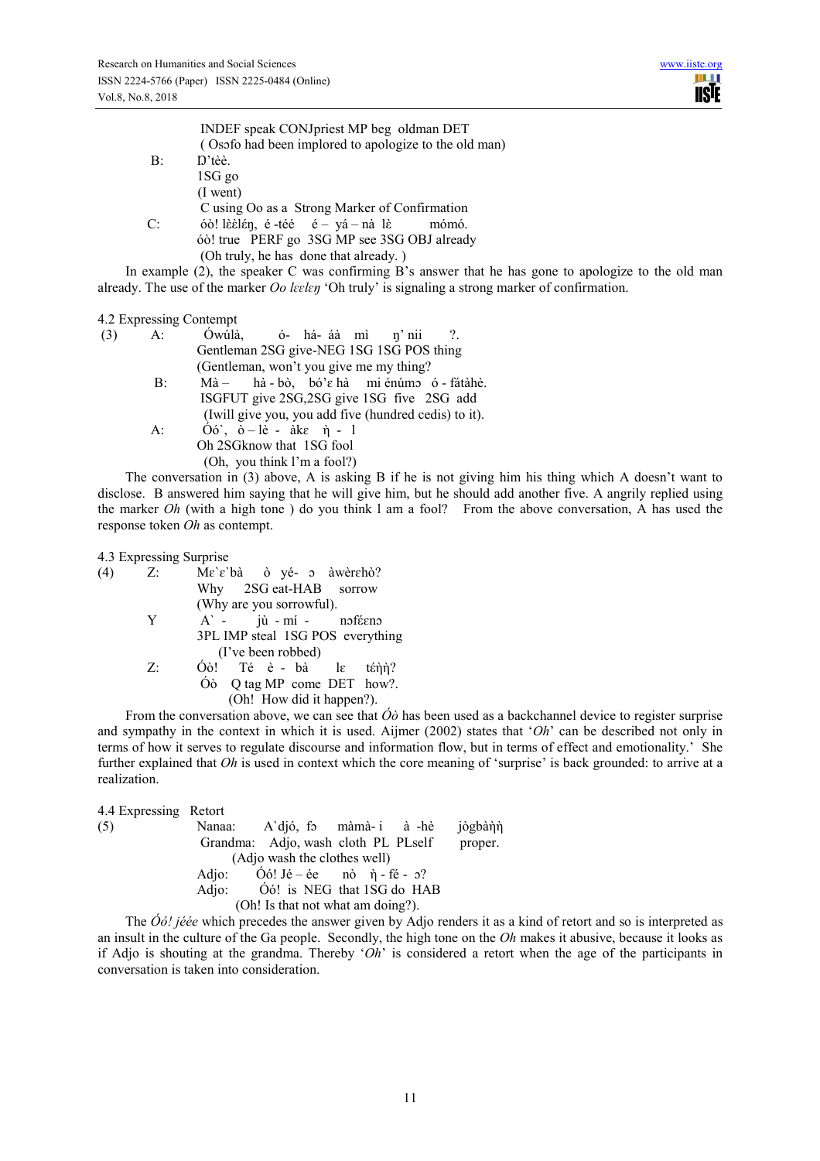|             | INDEF speak CONJpriest MP beg oldman DET              |
|-------------|-------------------------------------------------------|
|             | (Osofo had been implored to apologize to the old man) |
| B:          | $D't\grave{e}\grave{e}$ .                             |
|             | 1SG go                                                |
|             | $(I$ went                                             |
|             | C using Oo as a Strong Marker of Confirmation         |
| $C^{\cdot}$ | óò! lè càng, é -té é – yá – nà lè<br>mómó.            |
|             | óò! true PERF go 3SG MP see 3SG OBJ already           |
|             | (Oh truly, he has done that already.)                 |

In example (2), the speaker C was confirming B's answer that he has gone to apologize to the old man already. The use of the marker *Oo lɛɛlɛŋ* 'Oh truly' is signaling a strong marker of confirmation.

# 4.2 Expressing Contempt

| $(3)$ A: | Ówúlà, ó-há-áà mì n'nii?.                                              |
|----------|------------------------------------------------------------------------|
|          | Gentleman 2SG give-NEG 1SG 1SG POS thing                               |
|          | (Gentleman, won't you give me my thing?)                               |
| B:       | $M\dot{a}$ – hà - bò, bó' $\varepsilon$ hà mi énúm ó - fátà hè.        |
|          | ISGFUT give 2SG, 2SG give 1SG five 2SG add                             |
|          | (Iwill give you, you add five (hundred cedis) to it).                  |
| A:       | $\dot{O6}$ , $\dot{O} - \dot{R}$ - $\dot{a}k\epsilon$ $\dot{\eta}$ - 1 |
|          | Oh 2SG know that 1SG fool                                              |
|          | (Oh, you think I'm a fool?)                                            |

The conversation in (3) above, A is asking B if he is not giving him his thing which A doesn't want to disclose. B answered him saying that he will give him, but he should add another five. A angrily replied using the marker *Oh* (with a high tone ) do you think l am a fool? From the above conversation, A has used the response token *Oh* as contempt.

4.3 Expressing Surprise

| (4) | $Z$ : |                          |                    |  | $Me \hat{\epsilon}$ bà ò yé- o àwèrehò? |                                                                                                                 |
|-----|-------|--------------------------|--------------------|--|-----------------------------------------|-----------------------------------------------------------------------------------------------------------------|
|     |       |                          |                    |  | Why 2SG eat-HAB sorrow                  |                                                                                                                 |
|     |       | (Why are you sorrowful). |                    |  |                                         |                                                                                                                 |
|     | Y     |                          |                    |  | A - jù - mí - noféeno                   |                                                                                                                 |
|     |       |                          |                    |  |                                         | 3PL IMP steal 1SG POS everything                                                                                |
|     |       |                          | (I've been robbed) |  |                                         |                                                                                                                 |
|     | Z÷    |                          |                    |  |                                         | Óò! Té è - bà la ténn?                                                                                          |
|     |       |                          |                    |  |                                         | $\dot{\text{O}}\text{o}$ Q tag MP come DET how?.                                                                |
|     |       |                          |                    |  | (Oh! How did it happen?).               |                                                                                                                 |
|     |       |                          |                    |  |                                         | the contract of the contract of the contract of the contract of the contract of the contract of the contract of |

From the conversation above, we can see that  $\hat{O}\hat{o}$  has been used as a backchannel device to register surprise and sympathy in the context in which it is used. Aijmer (2002) states that '*Oh*' can be described not only in terms of how it serves to regulate discourse and information flow, but in terms of effect and emotionality.' She further explained that *Oh* is used in context which the core meaning of 'surprise' is back grounded: to arrive at a realization.

| 4.4 Expressing Retort |                                                                                                                       |  |         |
|-----------------------|-----------------------------------------------------------------------------------------------------------------------|--|---------|
| (5)                   | Nanaa: A'djó, fo màmà-i à-hè                                                                                          |  | jògbàὴὴ |
|                       | Grandma: Adjo, wash cloth PL PLself                                                                                   |  | proper. |
|                       | (Adjo wash the clothes well)                                                                                          |  |         |
|                       | Adjo: $\dot{O}$ ó! Jé – ée nò $\dot{\eta}$ – fé – 0?                                                                  |  |         |
|                       | Adjo: Óó! is NEG that 1SG do HAB                                                                                      |  |         |
|                       | (Oh! Is that not what am doing?).                                                                                     |  |         |
|                       | — <i>Anne Service State State State State State State State State State State State State State State State State</i> |  |         |

The *Óό! jéée* which precedes the answer given by Adjo renders it as a kind of retort and so is interpreted as an insult in the culture of the Ga people. Secondly, the high tone on the *Oh* makes it abusive, because it looks as if Adjo is shouting at the grandma. Thereby '*Oh*' is considered a retort when the age of the participants in conversation is taken into consideration.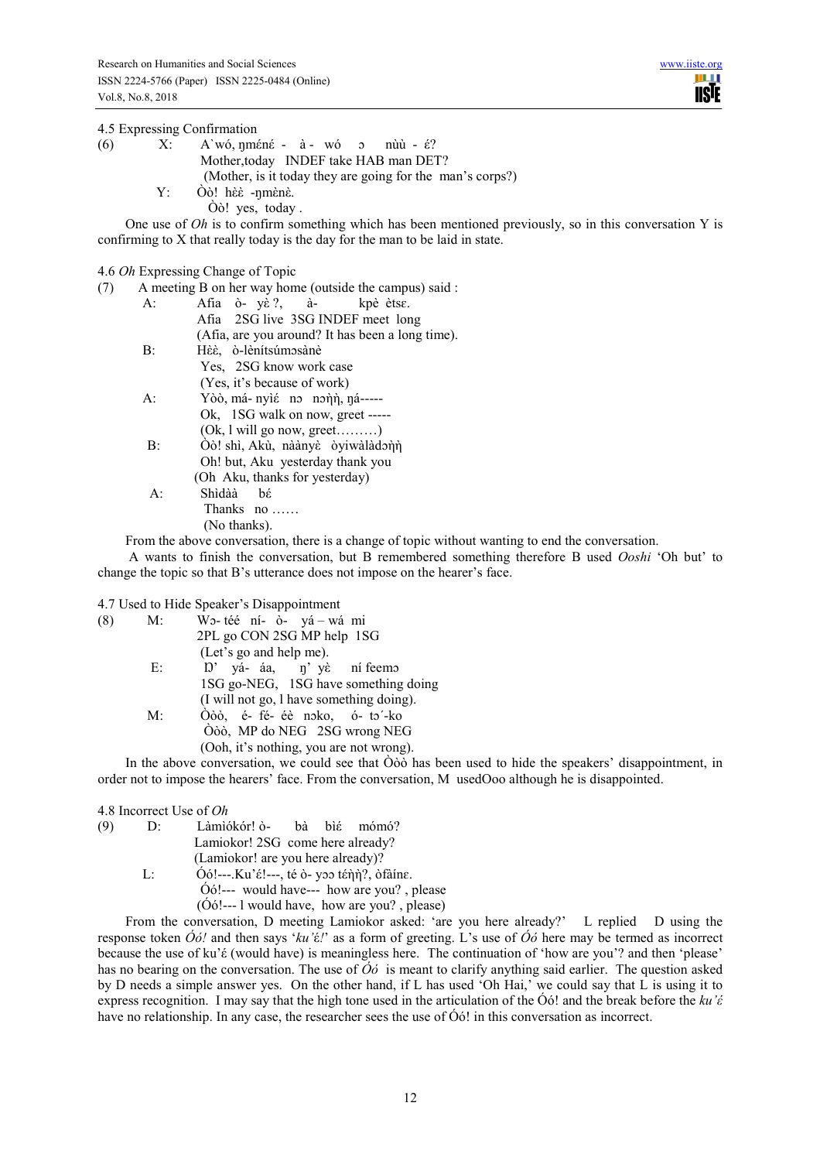4.5 Expressing Confirmation

so in this conversation Y is

| (6) |       | $X: A'w\acute{o}, \eta m\acute{e}n\acute{e} - \grave{a} - w\acute{o} \quad \circ \quad n\grave{u}\acute{u} - \acute{\epsilon}$ ? |
|-----|-------|----------------------------------------------------------------------------------------------------------------------------------|
|     |       | Mother, today INDEF take HAB man DET?                                                                                            |
|     |       | (Mother, is it today they are going for the man's corps?)                                                                        |
|     |       | $Y: \hat{O} \circ !$ hè $\hat{E}$ -nmènè.                                                                                        |
|     |       | $\dot{O}$ $\dot{o}$ ! yes, today.                                                                                                |
|     |       |                                                                                                                                  |
|     |       | One use of $Oh$ is to confirm something which has been mentioned previously,                                                     |
|     |       | confirming to X that really today is the day for the man to be laid in state.                                                    |
|     |       |                                                                                                                                  |
|     |       | 4.6 <i>Oh</i> Expressing Change of Topic                                                                                         |
| (7) |       | A meeting B on her way home (outside the campus) said :                                                                          |
|     | A:    | Afia ò yè?, à- kpè ètse.                                                                                                         |
|     |       | Afia 2SG live 3SG INDEF meet long                                                                                                |
|     |       | (Afia, are you around? It has been a long time).                                                                                 |
|     | $B$ : | Hèè, ò-lènítsúmosànè                                                                                                             |
|     |       | Yes, 2SG know work case                                                                                                          |
|     |       | (Yes, it's because of work)                                                                                                      |
|     | А:    | Yòò, má- nyié no nonn, ná-----                                                                                                   |
|     |       | $\Omega$ 100 $\Omega$ $\Omega$                                                                                                   |

 Ok, 1SG walk on now, greet ----- (Ok, l will go now, greet………)

 B: Òὸ! shì, Akù, nàànyὲ ὸyiwàlàdɔὴὴ Oh! but, Aku yesterday thank you (Oh Aku, thanks for yesterday) A: Shìdàà bέ Thanks no ……

(No thanks).

From the above conversation, there is a change of topic without wanting to end the conversation.

 A wants to finish the conversation, but B remembered something therefore B used *Ooshi* 'Oh but' to change the topic so that B's utterance does not impose on the hearer's face.

4.7 Used to Hide Speaker's Disappointment

| (8) | $M$ : | Wo-téé ní- ò- yá – wá mi                                                                                                                                                                                                                                                                         |
|-----|-------|--------------------------------------------------------------------------------------------------------------------------------------------------------------------------------------------------------------------------------------------------------------------------------------------------|
|     |       | 2PL go CON 2SG MP help 1SG                                                                                                                                                                                                                                                                       |
|     |       | (Let's go and help me).                                                                                                                                                                                                                                                                          |
|     | E:    | $D'$ yá- áa, n'yè ní feemo                                                                                                                                                                                                                                                                       |
|     |       | 1SG go-NEG, 1SG have something doing                                                                                                                                                                                                                                                             |
|     |       | (I will not go, I have something doing).                                                                                                                                                                                                                                                         |
|     | M:    | Òòò, é- fé- éè noko, ó- to'-ko                                                                                                                                                                                                                                                                   |
|     |       | Oòò, MP do NEG 2SG wrong NEG                                                                                                                                                                                                                                                                     |
|     |       | (Ooh, it's nothing, you are not wrong).                                                                                                                                                                                                                                                          |
|     |       | $\mathbf{a}$ and $\mathbf{a}$ and $\mathbf{a}$ and $\mathbf{a}$ and $\mathbf{a}$ and $\mathbf{a}$ and $\mathbf{a}$ and $\mathbf{a}$ and $\mathbf{a}$ and $\mathbf{a}$ and $\mathbf{a}$ and $\mathbf{a}$ and $\mathbf{a}$ and $\mathbf{a}$ and $\mathbf{a}$ and $\mathbf{a}$ and $\mathbf{a}$ and |

In the above conversation, we could see that Òòò has been used to hide the speakers' disappointment, in order not to impose the hearers' face. From the conversation, M usedOoo although he is disappointed.

4.8 Incorrect Use of *Oh*

| (9) | D: | Làmìókór! ò- bà bìé mómó?                                                                      |
|-----|----|------------------------------------------------------------------------------------------------|
|     |    | Lamiokor! 2SG come here already?                                                               |
|     |    | (Lamiokor! are you here already)?                                                              |
|     | Ŀ  | $\dot{O}$ ó!---.Ku'é!---, té ò- yoo ténn?, òfàine.                                             |
|     |    | $\dot{\text{O}}$ ( $\dot{\text{O}}$ ) $\dot{\text{O}}$ = - would have --- how are you?, please |
|     |    | $(Oo)$ ---1 would have, how are you?, please)                                                  |

From the conversation, D meeting Lamiokor asked: 'are you here already?' L replied D using the response token *Óό!* and then says '*ku'*έ*!*' as a form of greeting. L's use of *Óό* here may be termed as incorrect because the use of ku'έ (would have) is meaningless here. The continuation of 'how are you'? and then 'please' has no bearing on the conversation. The use of *Óό* is meant to clarify anything said earlier. The question asked by D needs a simple answer yes. On the other hand, if L has used 'Oh Hai,' we could say that L is using it to express recognition. I may say that the high tone used in the articulation of the Óό! and the break before the *ku'έ* have no relationship. In any case, the researcher sees the use of  $\dot{O}$  in this conversation as incorrect.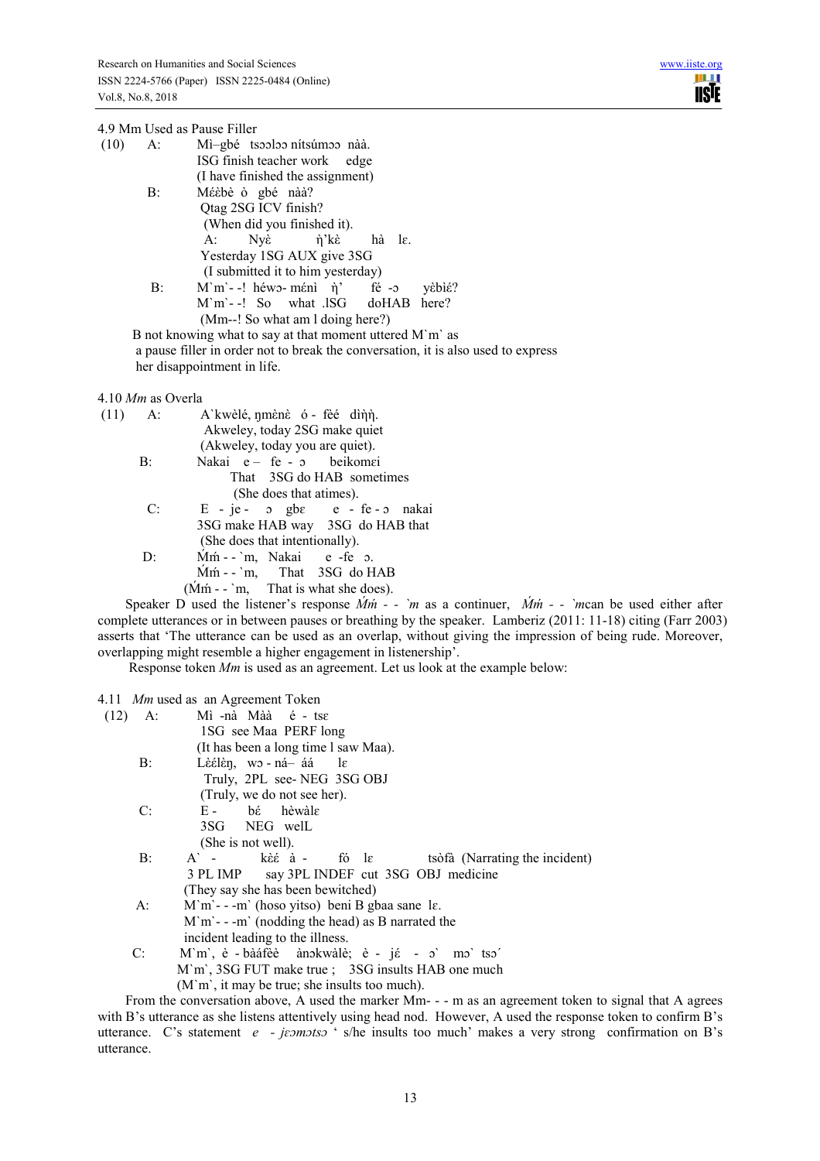| 4.9 Mm Used as Pause Filler                                                       |  |
|-----------------------------------------------------------------------------------|--|
| $(10)$ A: Mi-gbé tsooloo nítsúmoo nàà.                                            |  |
| ISG finish teacher work edge                                                      |  |
| (I have finished the assignment)                                                  |  |
| Méèbè ò gbé nàà?<br>$B$ :                                                         |  |
| Qtag 2SG ICV finish?                                                              |  |
| (When did you finished it).                                                       |  |
| A: Nyề ή'kè hà lε.                                                                |  |
| Yesterday 1SG AUX give 3SG                                                        |  |
| (I submitted it to him yesterday)                                                 |  |
| $M'm'$ -! héwo-méni $\eta'$ fé -o yèbié?<br>B:                                    |  |
| M'm'--! So what .ISG doHAB here?                                                  |  |
| (Mm--! So what am I doing here?)                                                  |  |
| B not knowing what to say at that moment uttered M'm' as                          |  |
| a pause filler in order not to break the conversation, it is also used to express |  |
| her disappointment in life.                                                       |  |
|                                                                                   |  |
| 4.10 $Mm$ as Overla                                                               |  |
|                                                                                   |  |

| $(11)$ A: |       | A`kwèlé, nmènè ó - fèé dìnn.                              |
|-----------|-------|-----------------------------------------------------------|
|           |       | Akweley, today 2SG make quiet                             |
|           |       | (Akweley, today you are quiet).                           |
|           | B:    | Nakai e- fe - o beikomei                                  |
|           |       | That 3SG do HAB sometimes                                 |
|           |       | (She does that atimes).                                   |
|           | C:    | $E - je - \sigma$ gb $\varepsilon$ e - fe- $\sigma$ nakai |
|           |       | 3SG make HAB way 3SG do HAB that                          |
|           |       | (She does that intentionally).                            |
|           | $D$ : | Mm - m, Nakai e -fe p.                                    |
|           |       | $Mm - m$ , That 3SG do HAB                                |
|           |       | $(Mm - m)$ . That is what she does).                      |

Speaker D used the listener's response  $\dot{Mm}$  - - `m as a continuer,  $\dot{Mm}$  - - `mcan be used either after complete utterances or in between pauses or breathing by the speaker. Lamberiz (2011: 11-18) citing (Farr 2003) asserts that 'The utterance can be used as an overlap, without giving the impression of being rude. Moreover, overlapping might resemble a higher engagement in listenership'.

Response token *Mm* is used as an agreement. Let us look at the example below:

# 4.11 *Mm* used as an Agreement Token

| (12) | A: | Mì-nà Màà é - tse                                            |
|------|----|--------------------------------------------------------------|
|      |    | 1SG see Maa PERF long                                        |
|      |    | (It has been a long time I saw Maa).                         |
|      | B: | Lèélèn, wo-ná-áá le                                          |
|      |    | Truly, 2PL see-NEG 3SG OBJ                                   |
|      |    | (Truly, we do not see her).                                  |
|      | C: | $E - b\acute{\epsilon}$ hèwàle                               |
|      |    | 3SG NEG well                                                 |
|      |    | (She is not well).                                           |
|      | B: | $A^{\dagger}$ - kèé à - fó le tsòfà (Narrating the incident) |
|      |    | 3 PL IMP say 3PL INDEF cut 3SG OBJ medicine                  |
|      |    | (They say she has been bewitched)                            |
|      | A: | $M'm' - -m'$ (hoso yitso) beni B gbaa sane le.               |
|      |    | $M'm' - -m'$ (nodding the head) as B narrated the            |
|      |    | incident leading to the illness.                             |
|      | C: | M'm', è - bàáfèè àno kwàlè; è - jé - o' mo' tso'             |
|      |    | M'm', 3SG FUT make true ; 3SG insults HAB one much           |
|      |    | $(M'm)$ , it may be true; she insults too much).             |

From the conversation above, A used the marker Mm- - - m as an agreement token to signal that A agrees with B's utterance as she listens attentively using head nod. However, A used the response token to confirm B's utterance. C's statement *e - jɛɔmɔtsɔ* ' s/he insults too much' makes a very strong confirmation on B's utterance.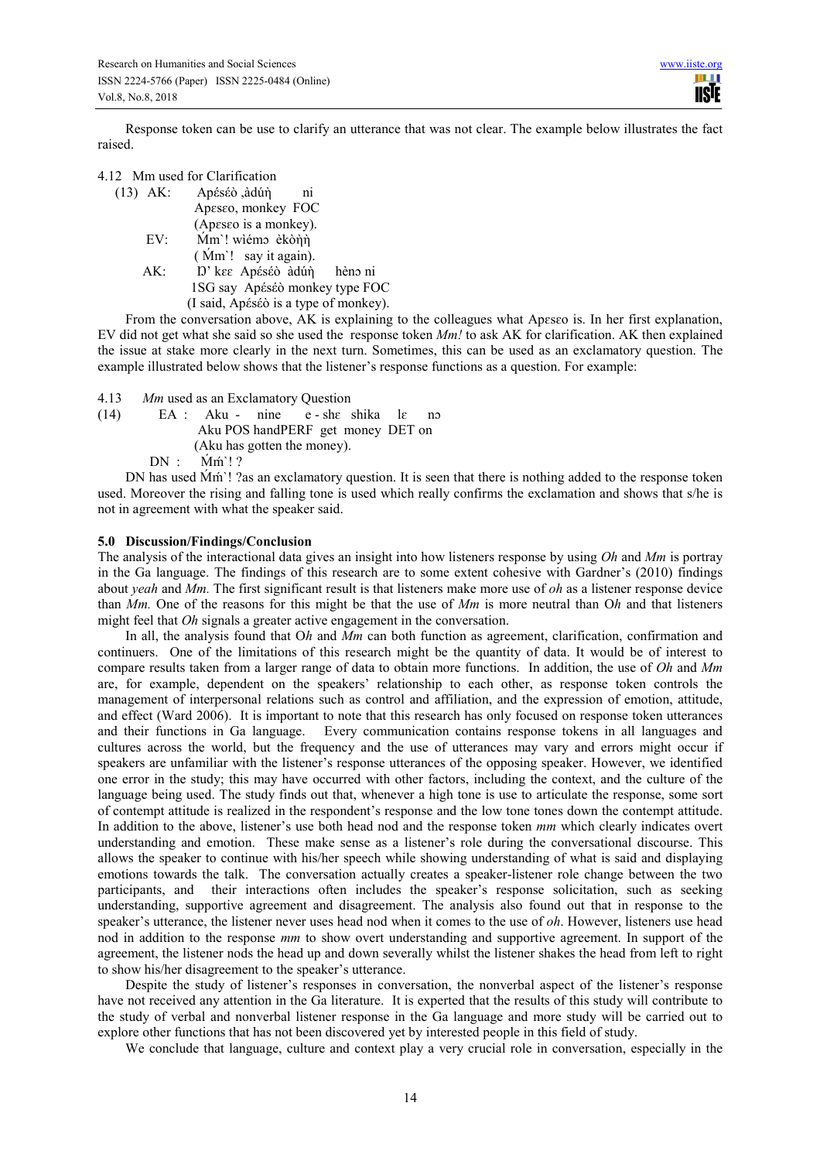Response token can be use to clarify an utterance that was not clear. The example below illustrates the fact raised.

| 4.12 Mm used for Clarification |  |
|--------------------------------|--|
|--------------------------------|--|

| $(13)$ AK: | Apέsέò ,àdúή<br>n <sub>1</sub>        |
|------------|---------------------------------------|
|            | Apeseo, monkey FOC                    |
|            | (Apeseo is a monkey).                 |
| EV:        | Mm'! wiémo èkònn                      |
|            | (Mm'! say it again).                  |
| AK:        | D' kee Apéséò àdún hèno ni            |
|            | 1SG say Apéséò monkey type FOC        |
|            | (I said, Apéséò is a type of monkey). |

From the conversation above, AK is explaining to the colleagues what Apeseo is. In her first explanation, EV did not get what she said so she used the response token *Mm!* to ask AK for clarification. AK then explained the issue at stake more clearly in the next turn. Sometimes, this can be used as an exclamatory question. The example illustrated below shows that the listener's response functions as a question. For example:

4.13 *Mm* used as an Exclamatory Question (14) EA : Aku - nine  $e$  - she shika le no Aku POS handPERF get money DET on (Aku has gotten the money).  $DN$  :  $\dot{M}m$ <sup>'</sup>! ?

DN has used  $\dot{M}$ m<sup>'</sup>! ?as an exclamatory question. It is seen that there is nothing added to the response token used. Moreover the rising and falling tone is used which really confirms the exclamation and shows that s/he is not in agreement with what the speaker said.

## **5.0 Discussion/Findings/Conclusion**

The analysis of the interactional data gives an insight into how listeners response by using *Oh* and *Mm* is portray in the Ga language. The findings of this research are to some extent cohesive with Gardner's (2010) findings about *yeah* and *Mm.* The first significant result is that listeners make more use of *oh* as a listener response device than *Mm.* One of the reasons for this might be that the use of *Mm* is more neutral than O*h* and that listeners might feel that *Oh* signals a greater active engagement in the conversation.

In all, the analysis found that O*h* and *Mm* can both function as agreement, clarification, confirmation and continuers. One of the limitations of this research might be the quantity of data. It would be of interest to compare results taken from a larger range of data to obtain more functions. In addition, the use of *Oh* and *Mm*  are, for example, dependent on the speakers' relationship to each other, as response token controls the management of interpersonal relations such as control and affiliation, and the expression of emotion, attitude, and effect (Ward 2006). It is important to note that this research has only focused on response token utterances and their functions in Ga language. Every communication contains response tokens in all languages and cultures across the world, but the frequency and the use of utterances may vary and errors might occur if speakers are unfamiliar with the listener's response utterances of the opposing speaker. However, we identified one error in the study; this may have occurred with other factors, including the context, and the culture of the language being used. The study finds out that, whenever a high tone is use to articulate the response, some sort of contempt attitude is realized in the respondent's response and the low tone tones down the contempt attitude. In addition to the above, listener's use both head nod and the response token *mm* which clearly indicates overt understanding and emotion. These make sense as a listener's role during the conversational discourse. This allows the speaker to continue with his/her speech while showing understanding of what is said and displaying emotions towards the talk. The conversation actually creates a speaker-listener role change between the two participants, and their interactions often includes the speaker's response solicitation, such as seeking understanding, supportive agreement and disagreement. The analysis also found out that in response to the speaker's utterance, the listener never uses head nod when it comes to the use of *oh*. However, listeners use head nod in addition to the response *mm* to show overt understanding and supportive agreement. In support of the agreement, the listener nods the head up and down severally whilst the listener shakes the head from left to right to show his/her disagreement to the speaker's utterance.

Despite the study of listener's responses in conversation, the nonverbal aspect of the listener's response have not received any attention in the Ga literature. It is experted that the results of this study will contribute to the study of verbal and nonverbal listener response in the Ga language and more study will be carried out to explore other functions that has not been discovered yet by interested people in this field of study.

We conclude that language, culture and context play a very crucial role in conversation, especially in the